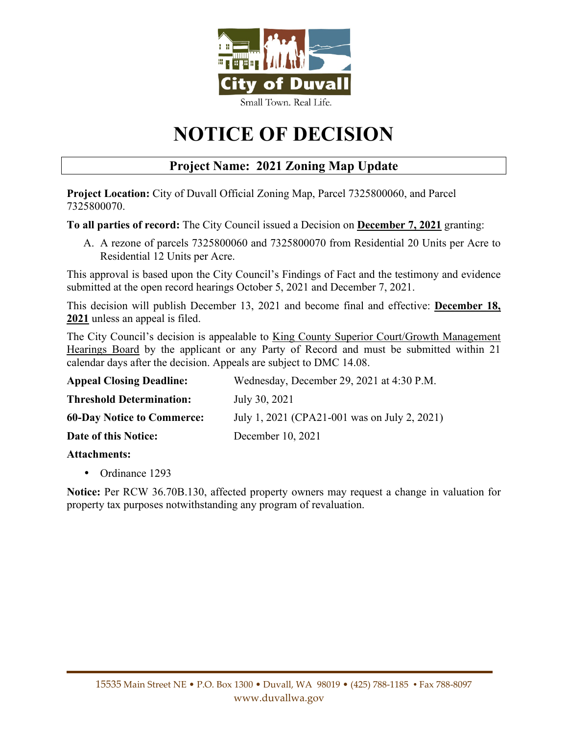

# **NOTICE OF DECISION**

### **Project Name: 2021 Zoning Map Update**

**Project Location:** City of Duvall Official Zoning Map, Parcel 7325800060, and Parcel 7325800070.

**To all parties of record:** The City Council issued a Decision on **December 7, 2021** granting:

A. A rezone of parcels 7325800060 and 7325800070 from Residential 20 Units per Acre to Residential 12 Units per Acre.

This approval is based upon the City Council's Findings of Fact and the testimony and evidence submitted at the open record hearings October 5, 2021 and December 7, 2021.

This decision will publish December 13, 2021 and become final and effective: **December 18, 2021** unless an appeal is filed.

The City Council's decision is appealable to King County Superior Court/Growth Management Hearings Board by the applicant or any Party of Record and must be submitted within 21 calendar days after the decision. Appeals are subject to DMC 14.08.

| <b>Appeal Closing Deadline:</b>   | Wednesday, December 29, 2021 at 4:30 P.M.    |
|-----------------------------------|----------------------------------------------|
| <b>Threshold Determination:</b>   | July 30, 2021                                |
| <b>60-Day Notice to Commerce:</b> | July 1, 2021 (CPA21-001 was on July 2, 2021) |
| Date of this Notice:              | December 10, 2021                            |
|                                   |                                              |

### **Attachments:**

Ordinance 1293

**Notice:** Per RCW 36.70B.130, affected property owners may request a change in valuation for property tax purposes notwithstanding any program of revaluation.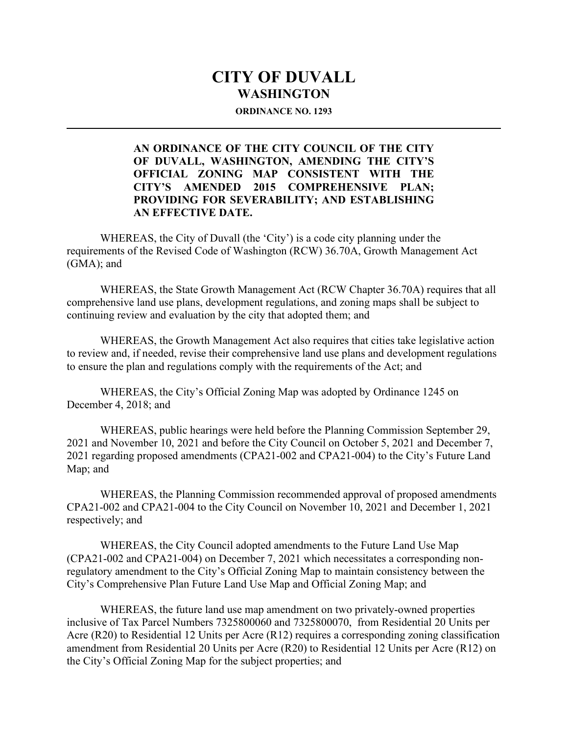## **CITY OF DUVALL WASHINGTON**

#### **ORDINANCE NO. 1293**

#### **AN ORDINANCE OF THE CITY COUNCIL OF THE CITY OF DUVALL, WASHINGTON, AMENDING THE CITY'S OFFICIAL ZONING MAP CONSISTENT WITH THE CITY'S AMENDED 2015 COMPREHENSIVE PLAN; PROVIDING FOR SEVERABILITY; AND ESTABLISHING AN EFFECTIVE DATE.**

 WHEREAS, the City of Duvall (the 'City') is a code city planning under the requirements of the Revised Code of Washington (RCW) 36.70A, Growth Management Act (GMA); and

 WHEREAS, the State Growth Management Act (RCW Chapter 36.70A) requires that all comprehensive land use plans, development regulations, and zoning maps shall be subject to continuing review and evaluation by the city that adopted them; and

 WHEREAS, the Growth Management Act also requires that cities take legislative action to review and, if needed, revise their comprehensive land use plans and development regulations to ensure the plan and regulations comply with the requirements of the Act; and

 WHEREAS, the City's Official Zoning Map was adopted by Ordinance 1245 on December 4, 2018; and

 WHEREAS, public hearings were held before the Planning Commission September 29, 2021 and November 10, 2021 and before the City Council on October 5, 2021 and December 7, 2021 regarding proposed amendments (CPA21-002 and CPA21-004) to the City's Future Land Map; and

 WHEREAS, the Planning Commission recommended approval of proposed amendments CPA21-002 and CPA21-004 to the City Council on November 10, 2021 and December 1, 2021 respectively; and

 WHEREAS, the City Council adopted amendments to the Future Land Use Map (CPA21-002 and CPA21-004) on December 7, 2021 which necessitates a corresponding nonregulatory amendment to the City's Official Zoning Map to maintain consistency between the City's Comprehensive Plan Future Land Use Map and Official Zoning Map; and

 WHEREAS, the future land use map amendment on two privately-owned properties inclusive of Tax Parcel Numbers 7325800060 and 7325800070, from Residential 20 Units per Acre (R20) to Residential 12 Units per Acre (R12) requires a corresponding zoning classification amendment from Residential 20 Units per Acre (R20) to Residential 12 Units per Acre (R12) on the City's Official Zoning Map for the subject properties; and